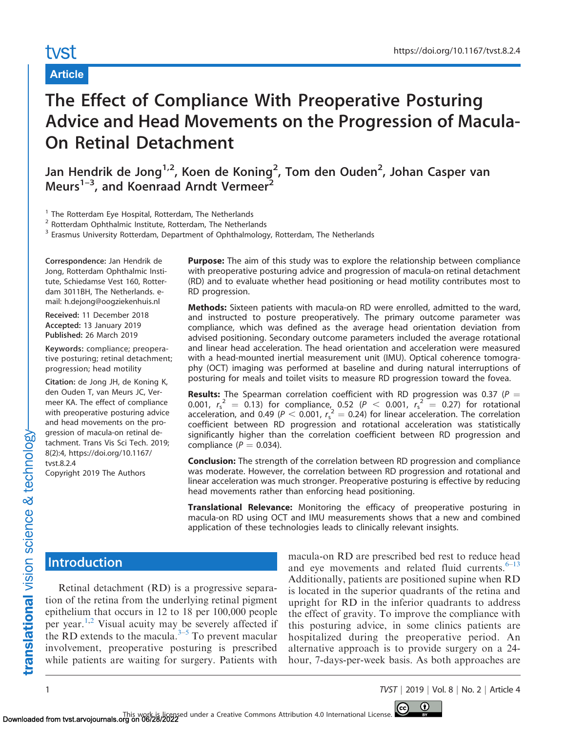# tyst

# Article

# The Effect of Compliance With Preoperative Posturing Advice and Head Movements on the Progression of Macula-On Retinal Detachment

Jan Hendrik de Jong<sup>1,2</sup>, Koen de Koning<sup>2</sup>, Tom den Ouden<sup>2</sup>, Johan Casper van Meurs<sup>1-3</sup>, and Koenraad Arndt Vermeer<sup>2</sup>

<sup>1</sup> The Rotterdam Eye Hospital, Rotterdam, The Netherlands

<sup>2</sup> Rotterdam Ophthalmic Institute, Rotterdam, The Netherlands

<sup>3</sup> Erasmus University Rotterdam, Department of Ophthalmology, Rotterdam, The Netherlands

Correspondence: Jan Hendrik de Jong, Rotterdam Ophthalmic Institute, Schiedamse Vest 160, Rotterdam 3011BH, The Netherlands. email: h.dejong@oogziekenhuis.nl

Received: 11 December 2018 Accepted: 13 January 2019 Published: 26 March 2019

Keywords: compliance; preoperative posturing; retinal detachment; progression; head motility

Citation: de Jong JH, de Koning K, den Ouden T, van Meurs JC, Vermeer KA. The effect of compliance with preoperative posturing advice and head movements on the progression of macula-on retinal detachment. Trans Vis Sci Tech. 2019; 8(2):4, https://doi.org/10.1167/ tvst.8.2.4

Copyright 2019 The Authors

**Purpose:** The aim of this study was to explore the relationship between compliance with preoperative posturing advice and progression of macula-on retinal detachment (RD) and to evaluate whether head positioning or head motility contributes most to RD progression.

Methods: Sixteen patients with macula-on RD were enrolled, admitted to the ward, and instructed to posture preoperatively. The primary outcome parameter was compliance, which was defined as the average head orientation deviation from advised positioning. Secondary outcome parameters included the average rotational and linear head acceleration. The head orientation and acceleration were measured with a head-mounted inertial measurement unit (IMU). Optical coherence tomography (OCT) imaging was performed at baseline and during natural interruptions of posturing for meals and toilet visits to measure RD progression toward the fovea.

**Results:** The Spearman correlation coefficient with RD progression was 0.37 ( $P =$ 0.001,  $r_s^2 = 0.13$ ) for compliance, 0.52 ( $P < 0.001$ ,  $r_s^2 = 0.27$ ) for rotational acceleration, and 0.49 ( $P < 0.001$ ,  $r_s^2 = 0.24$ ) for linear acceleration. The correlation coefficient between RD progression and rotational acceleration was statistically significantly higher than the correlation coefficient between RD progression and compliance ( $P = 0.034$ ).

**Conclusion:** The strength of the correlation between RD progression and compliance was moderate. However, the correlation between RD progression and rotational and linear acceleration was much stronger. Preoperative posturing is effective by reducing head movements rather than enforcing head positioning.

Translational Relevance: Monitoring the efficacy of preoperative posturing in macula-on RD using OCT and IMU measurements shows that a new and combined application of these technologies leads to clinically relevant insights.

# Introduction

Retinal detachment (RD) is a progressive separation of the retina from the underlying retinal pigment epithelium that occurs in 12 to 18 per 100,000 people per year.<sup>1,[2](#page-10-0)</sup> Visual acuity may be severely affected if the RD extends to the macula.<sup>[3–5](#page-10-0)</sup> To prevent macular involvement, preoperative posturing is prescribed while patients are waiting for surgery. Patients with

macula-on RD are prescribed bed rest to reduce head and eye movements and related fluid currents. $6-13$ Additionally, patients are positioned supine when RD is located in the superior quadrants of the retina and upright for RD in the inferior quadrants to address the effect of gravity. To improve the compliance with this posturing advice, in some clinics patients are hospitalized during the preoperative period. An alternative approach is to provide surgery on a 24 hour, 7-days-per-week basis. As both approaches are

 $\odot$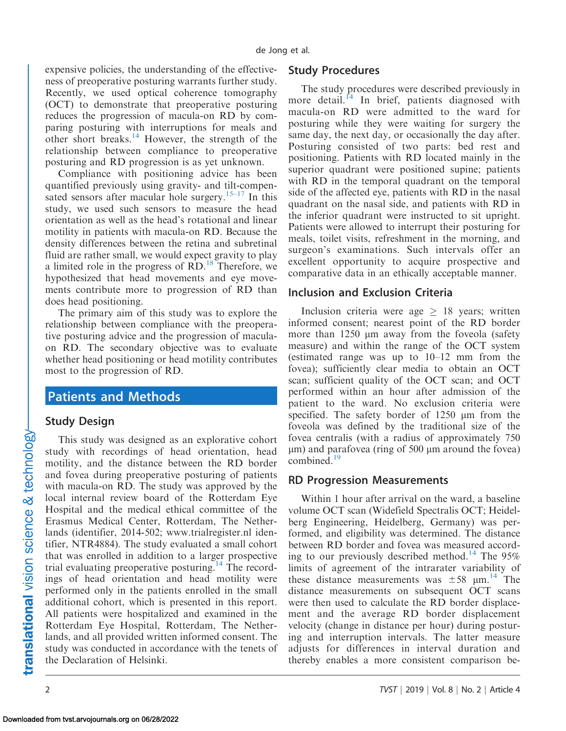expensive policies, the understanding of the effectiveness of preoperative posturing warrants further study. Recently, we used optical coherence tomography (OCT) to demonstrate that preoperative posturing reduces the progression of macula-on RD by comparing posturing with interruptions for meals and other short breaks. $14$  However, the strength of the relationship between compliance to preoperative posturing and RD progression is as yet unknown.

Compliance with positioning advice has been quantified previously using gravity- and tilt-compensated sensors after macular hole surgery.<sup>15–17</sup> In this study, we used such sensors to measure the head orientation as well as the head's rotational and linear motility in patients with macula-on RD. Because the density differences between the retina and subretinal fluid are rather small, we would expect gravity to play a limited role in the progress of  $RD$ .<sup>[18](#page-11-0)</sup> Therefore, we hypothesized that head movements and eye movements contribute more to progression of RD than does head positioning.

The primary aim of this study was to explore the relationship between compliance with the preoperative posturing advice and the progression of maculaon RD. The secondary objective was to evaluate whether head positioning or head motility contributes most to the progression of RD.

# Patients and Methods

# Study Design

This study was designed as an explorative cohort study with recordings of head orientation, head motility, and the distance between the RD border and fovea during preoperative posturing of patients with macula-on RD. The study was approved by the local internal review board of the Rotterdam Eye Hospital and the medical ethical committee of the Erasmus Medical Center, Rotterdam, The Netherlands (identifier, 2014-502; www.trialregister.nl identifier, NTR4884). The study evaluated a small cohort that was enrolled in addition to a larger prospective trial evaluating preoperative posturing.<sup>14</sup> The recordings of head orientation and head motility were performed only in the patients enrolled in the small additional cohort, which is presented in this report. All patients were hospitalized and examined in the Rotterdam Eye Hospital, Rotterdam, The Netherlands, and all provided written informed consent. The study was conducted in accordance with the tenets of the Declaration of Helsinki.

# Study Procedures

The study procedures were described previously in more detail.<sup>[14](#page-11-0)</sup> In brief, patients diagnosed with macula-on RD were admitted to the ward for posturing while they were waiting for surgery the same day, the next day, or occasionally the day after. Posturing consisted of two parts: bed rest and positioning. Patients with RD located mainly in the superior quadrant were positioned supine; patients with RD in the temporal quadrant on the temporal side of the affected eye, patients with RD in the nasal quadrant on the nasal side, and patients with RD in the inferior quadrant were instructed to sit upright. Patients were allowed to interrupt their posturing for meals, toilet visits, refreshment in the morning, and surgeon's examinations. Such intervals offer an excellent opportunity to acquire prospective and comparative data in an ethically acceptable manner.

# Inclusion and Exclusion Criteria

Inclusion criteria were age  $\geq$  18 years; written informed consent; nearest point of the RD border more than  $1250 \mu m$  away from the foveola (safety measure) and within the range of the OCT system (estimated range was up to 10–12 mm from the fovea); sufficiently clear media to obtain an OCT scan; sufficient quality of the OCT scan; and OCT performed within an hour after admission of the patient to the ward. No exclusion criteria were specified. The safety border of  $1250 \mu m$  from the foveola was defined by the traditional size of the fovea centralis (with a radius of approximately 750  $\mu$ m) and parafovea (ring of 500  $\mu$ m around the fovea) combined. $19$ 

# RD Progression Measurements

Within 1 hour after arrival on the ward, a baseline volume OCT scan (Widefield Spectralis OCT; Heidelberg Engineering, Heidelberg, Germany) was performed, and eligibility was determined. The distance between RD border and fovea was measured according to our previously described method.<sup>14</sup> The 95% limits of agreement of the intrarater variability of these distance measurements was  $\pm 58$  µm.<sup>[14](#page-11-0)</sup> The distance measurements on subsequent OCT scans were then used to calculate the RD border displacement and the average RD border displacement velocity (change in distance per hour) during posturing and interruption intervals. The latter measure adjusts for differences in interval duration and thereby enables a more consistent comparison be-

translational vision science & technology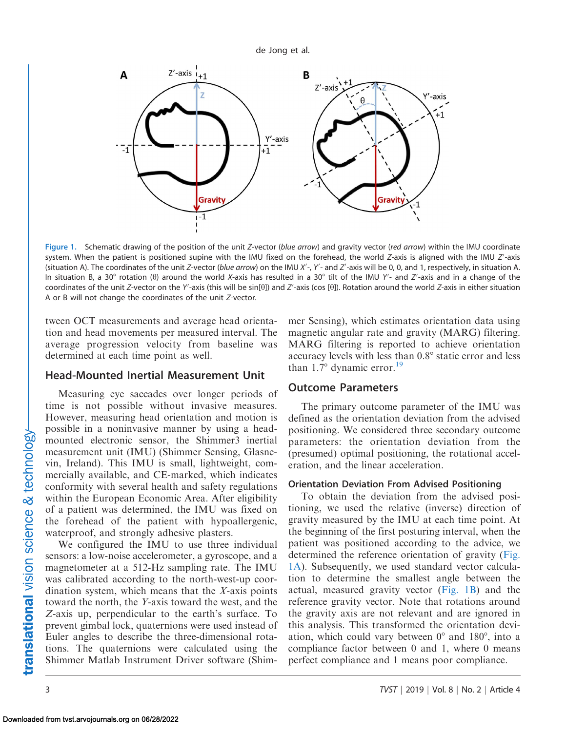<span id="page-2-0"></span>

Figure 1. Schematic drawing of the position of the unit Z-vector (blue arrow) and gravity vector (red arrow) within the IMU coordinate system. When the patient is positioned supine with the IMU fixed on the forehead, the world Z-axis is aligned with the IMU Z'-axis (situation A). The coordinates of the unit Z-vector (*blue arrow*) on the IMU X'-, Y'- and Z'-axis will be 0, 0, and 1, respectively, in situation A. In situation B, a 30 $^{\circ}$  rotation ( $\theta$ ) around the world X-axis has resulted in a 30 $^{\circ}$  tilt of the IMU Y'- and Z'-axis and in a change of the coordinates of the unit Z-vector on the Y'-axis (this will be sin[θ]) and Z'-axis (cos [θ]). Rotation around the world Z-axis in either situation A or B will not change the coordinates of the unit Z-vector.

tween OCT measurements and average head orientation and head movements per measured interval. The average progression velocity from baseline was determined at each time point as well.

#### Head-Mounted Inertial Measurement Unit

Measuring eye saccades over longer periods of time is not possible without invasive measures. However, measuring head orientation and motion is possible in a noninvasive manner by using a headmounted electronic sensor, the Shimmer3 inertial measurement unit (IMU) (Shimmer Sensing, Glasnevin, Ireland). This IMU is small, lightweight, commercially available, and CE-marked, which indicates conformity with several health and safety regulations within the European Economic Area. After eligibility of a patient was determined, the IMU was fixed on the forehead of the patient with hypoallergenic, waterproof, and strongly adhesive plasters.

We configured the IMU to use three individual sensors: a low-noise accelerometer, a gyroscope, and a magnetometer at a 512-Hz sampling rate. The IMU was calibrated according to the north-west-up coordination system, which means that the  $X$ -axis points toward the north, the Y-axis toward the west, and the Z-axis up, perpendicular to the earth's surface. To prevent gimbal lock, quaternions were used instead of Euler angles to describe the three-dimensional rotations. The quaternions were calculated using the Shimmer Matlab Instrument Driver software (Shim-

mer Sensing), which estimates orientation data using magnetic angular rate and gravity (MARG) filtering. MARG filtering is reported to achieve orientation accuracy levels with less than  $0.8^\circ$  static error and less than  $1.7^{\circ}$  dynamic error.<sup>19</sup>

#### Outcome Parameters

The primary outcome parameter of the IMU was defined as the orientation deviation from the advised positioning. We considered three secondary outcome parameters: the orientation deviation from the (presumed) optimal positioning, the rotational acceleration, and the linear acceleration.

#### Orientation Deviation From Advised Positioning

To obtain the deviation from the advised positioning, we used the relative (inverse) direction of gravity measured by the IMU at each time point. At the beginning of the first posturing interval, when the patient was positioned according to the advice, we determined the reference orientation of gravity (Fig. 1A). Subsequently, we used standard vector calculation to determine the smallest angle between the actual, measured gravity vector (Fig. 1B) and the reference gravity vector. Note that rotations around the gravity axis are not relevant and are ignored in this analysis. This transformed the orientation deviation, which could vary between  $0^{\circ}$  and 180 $^{\circ}$ , into a compliance factor between 0 and 1, where 0 means perfect compliance and 1 means poor compliance.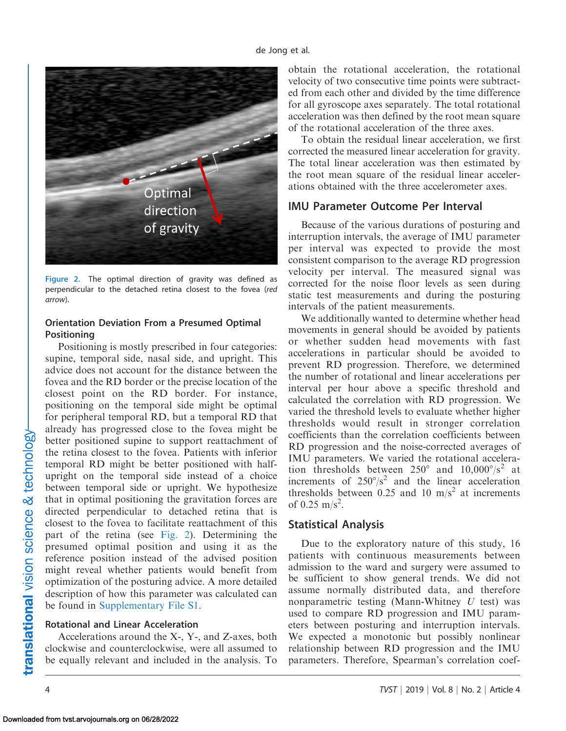

Figure 2. The optimal direction of gravity was defined as perpendicular to the detached retina closest to the fovea (red arrow).

### Orientation Deviation From a Presumed Optimal Positioning

Positioning is mostly prescribed in four categories: supine, temporal side, nasal side, and upright. This advice does not account for the distance between the fovea and the RD border or the precise location of the closest point on the RD border. For instance, positioning on the temporal side might be optimal for peripheral temporal RD, but a temporal RD that already has progressed close to the fovea might be better positioned supine to support reattachment of the retina closest to the fovea. Patients with inferior temporal RD might be better positioned with halfupright on the temporal side instead of a choice between temporal side or upright. We hypothesize that in optimal positioning the gravitation forces are directed perpendicular to detached retina that is closest to the fovea to facilitate reattachment of this part of the retina (see Fig. 2). Determining the presumed optimal position and using it as the reference position instead of the advised position might reveal whether patients would benefit from optimization of the posturing advice. A more detailed description of how this parameter was calculated can be found in [Supplementary File S1.](https://arvo.silverchair-cdn.com/arvo/content_public/journal/tvst/937875/tvst-08-02-02_s01.pdf?Expires=1553711061&Signature=FDfmBKBnHZNMitx5CEWf-zyq3Ifp2uKfuKDq-nvdwc6DTSUJyrMBtnkSNBxLkJSGOT3NIg0iyCn-w4U~yDUYGNArElixpjkR9O~KyLKA8ay9gibkQS2hyE4N4h16D3xf2l7PeSGIuXQl6r8bGkdTHAqIaHQhlxGs3VIT8D3QCOiRYiqQqB~doxdMcUwvHZI1M7aZBTc3DxYWDA8i5UO~j-gHfbwuRZQ-Kam37b3JR59Fy8E3bhteFV-iRrwG84o6V8ZLpKLR40huluvwHDVeEZFK86zIjU6ynD-G9BmI5RHyiRUJVv-iiPy5uI1JN8RT71YRPcgxH507p3ipjAzRlg__&Key-Pair-Id=APKAIE5G5CRDK6RD3PGA)

### Rotational and Linear Acceleration

Accelerations around the X-, Y-, and Z-axes, both clockwise and counterclockwise, were all assumed to be equally relevant and included in the analysis. To obtain the rotational acceleration, the rotational velocity of two consecutive time points were subtracted from each other and divided by the time difference for all gyroscope axes separately. The total rotational acceleration was then defined by the root mean square of the rotational acceleration of the three axes.

To obtain the residual linear acceleration, we first corrected the measured linear acceleration for gravity. The total linear acceleration was then estimated by the root mean square of the residual linear accelerations obtained with the three accelerometer axes.

# IMU Parameter Outcome Per Interval

Because of the various durations of posturing and interruption intervals, the average of IMU parameter per interval was expected to provide the most consistent comparison to the average RD progression velocity per interval. The measured signal was corrected for the noise floor levels as seen during static test measurements and during the posturing intervals of the patient measurements.

We additionally wanted to determine whether head movements in general should be avoided by patients or whether sudden head movements with fast accelerations in particular should be avoided to prevent RD progression. Therefore, we determined the number of rotational and linear accelerations per interval per hour above a specific threshold and calculated the correlation with RD progression. We varied the threshold levels to evaluate whether higher thresholds would result in stronger correlation coefficients than the correlation coefficients between RD progression and the noise-corrected averages of IMU parameters. We varied the rotational acceleration thresholds between  $250^{\circ}$  and  $10,000^{\circ}/s^2$  at increments of  $250^{\circ}/s^2$  and the linear acceleration thresholds between 0.25 and 10  $\text{m/s}^2$  at increments of 0.25 m/s<sup>2</sup>.

#### Statistical Analysis

Due to the exploratory nature of this study, 16 patients with continuous measurements between admission to the ward and surgery were assumed to be sufficient to show general trends. We did not assume normally distributed data, and therefore nonparametric testing (Mann-Whitney  $U$  test) was used to compare RD progression and IMU parameters between posturing and interruption intervals. We expected a monotonic but possibly nonlinear relationship between RD progression and the IMU parameters. Therefore, Spearman's correlation coef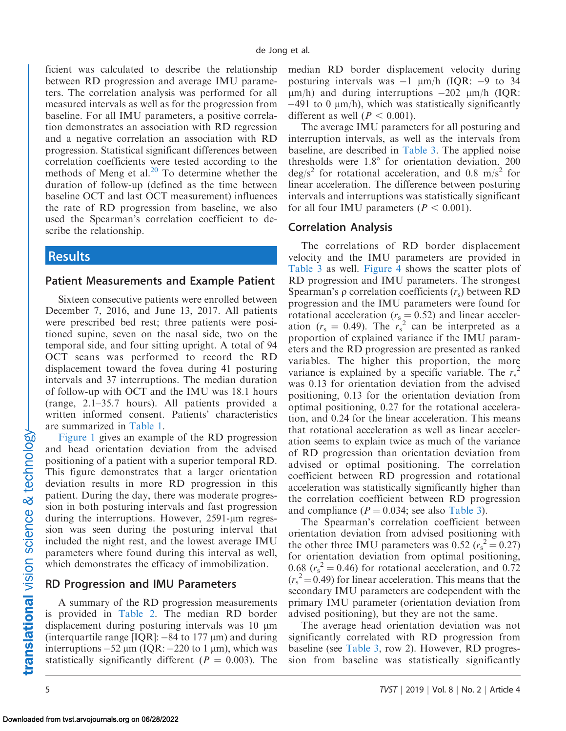ficient was calculated to describe the relationship between RD progression and average IMU parameters. The correlation analysis was performed for all measured intervals as well as for the progression from baseline. For all IMU parameters, a positive correlation demonstrates an association with RD regression and a negative correlation an association with RD progression. Statistical significant differences between correlation coefficients were tested according to the methods of Meng et al. $20$  To determine whether the duration of follow-up (defined as the time between baseline OCT and last OCT measurement) influences the rate of RD progression from baseline, we also used the Spearman's correlation coefficient to describe the relationship.

# **Results**

#### Patient Measurements and Example Patient

Sixteen consecutive patients were enrolled between December 7, 2016, and June 13, 2017. All patients were prescribed bed rest; three patients were positioned supine, seven on the nasal side, two on the temporal side, and four sitting upright. A total of 94 OCT scans was performed to record the RD displacement toward the fovea during 41 posturing intervals and 37 interruptions. The median duration of follow-up with OCT and the IMU was 18.1 hours (range, 2.1–35.7 hours). All patients provided a written informed consent. Patients' characteristics are summarized in [Table 1.](#page-5-0)

[Figure 1](#page-2-0) gives an example of the RD progression and head orientation deviation from the advised positioning of a patient with a superior temporal RD. This figure demonstrates that a larger orientation deviation results in more RD progression in this patient. During the day, there was moderate progression in both posturing intervals and fast progression during the interruptions. However,  $2591$ - $\mu$ m regression was seen during the posturing interval that included the night rest, and the lowest average IMU parameters where found during this interval as well, which demonstrates the efficacy of immobilization.

#### RD Progression and IMU Parameters

A summary of the RD progression measurements is provided in [Table 2](#page-6-0). The median RD border displacement during posturing intervals was 10  $\mu$ m (interquartile range [IQR]:  $-84$  to 177  $\mu$ m) and during interruptions  $-52 \mu m (IQR: -220 \text{ to } 1 \mu m)$ , which was statistically significantly different ( $P = 0.003$ ). The

median RD border displacement velocity during posturing intervals was  $-1 \mu m/h$  (IQR:  $-9 \text{ to } 34$  $\mu$ m/h) and during interruptions  $-202 \mu$ m/h (IQR:  $-491$  to 0  $\mu$ m/h), which was statistically significantly different as well ( $P < 0.001$ ).

The average IMU parameters for all posturing and interruption intervals, as well as the intervals from baseline, are described in [Table 3.](#page-7-0) The applied noise thresholds were  $1.8^{\circ}$  for orientation deviation, 200  $\text{deg/s}^2$  for rotational acceleration, and 0.8 m/s<sup>2</sup> for linear acceleration. The difference between posturing intervals and interruptions was statistically significant for all four IMU parameters ( $P < 0.001$ ).

#### Correlation Analysis

The correlations of RD border displacement velocity and the IMU parameters are provided in [Table 3](#page-7-0) as well. [Figure 4](#page-9-0) shows the scatter plots of RD progression and IMU parameters. The strongest Spearman's  $\rho$  correlation coefficients  $(r_s)$  between RD progression and the IMU parameters were found for rotational acceleration ( $r_s = 0.52$ ) and linear acceleration ( $r_s = 0.49$ ). The  $r_s^2$  can be interpreted as a proportion of explained variance if the IMU parameters and the RD progression are presented as ranked variables. The higher this proportion, the more variance is explained by a specific variable. The  $r_s^2$ was 0.13 for orientation deviation from the advised positioning, 0.13 for the orientation deviation from optimal positioning, 0.27 for the rotational acceleration, and 0.24 for the linear acceleration. This means that rotational acceleration as well as linear acceleration seems to explain twice as much of the variance of RD progression than orientation deviation from advised or optimal positioning. The correlation coefficient between RD progression and rotational acceleration was statistically significantly higher than the correlation coefficient between RD progression and compliance ( $P = 0.034$ ; see also [Table 3](#page-7-0)).

The Spearman's correlation coefficient between orientation deviation from advised positioning with the other three IMU parameters was 0.52  $(r_s^2 = 0.27)$ for orientation deviation from optimal positioning, 0.68 ( $r_s^2$  = 0.46) for rotational acceleration, and 0.72  $(r_s^2 = 0.49)$  for linear acceleration. This means that the secondary IMU parameters are codependent with the primary IMU parameter (orientation deviation from advised positioning), but they are not the same.

The average head orientation deviation was not significantly correlated with RD progression from baseline (see [Table 3](#page-7-0), row 2). However, RD progression from baseline was statistically significantly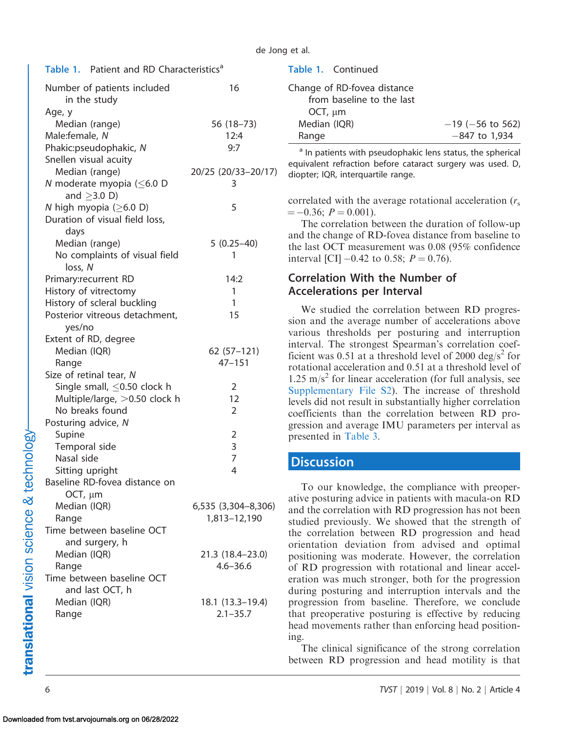Table 1. Continued

<span id="page-5-0"></span>

| Table 1. Patient and RD Characteristics <sup>a</sup> |                     |  |  |  |
|------------------------------------------------------|---------------------|--|--|--|
| Number of patients included<br>in the study          | 16                  |  |  |  |
| Age, y                                               |                     |  |  |  |
| Median (range)                                       | 56 (18–73)          |  |  |  |
| Male:female, N                                       | 12:4                |  |  |  |
| Phakic: pseudophakic, N                              | 9:7                 |  |  |  |
| Snellen visual acuity                                |                     |  |  |  |
| Median (range)                                       | 20/25 (20/33-20/17) |  |  |  |
| N moderate myopia ( $\leq 6.0$ D                     | 3                   |  |  |  |
| and $\geq$ 3.0 D)                                    |                     |  |  |  |
| N high myopia $(\geq 6.0 \text{ D})$                 | 5                   |  |  |  |
| Duration of visual field loss,                       |                     |  |  |  |
| days                                                 |                     |  |  |  |
| Median (range)<br>No complaints of visual field      | $5(0.25-40)$<br>1   |  |  |  |
| loss, N                                              |                     |  |  |  |
| Primary: recurrent RD                                | 14:2                |  |  |  |
| History of vitrectomy                                | 1                   |  |  |  |
| History of scleral buckling                          | 1                   |  |  |  |
| Posterior vitreous detachment,                       | 15                  |  |  |  |
| yes/no                                               |                     |  |  |  |
| Extent of RD, degree                                 |                     |  |  |  |
| Median (IQR)                                         | 62 (57-121)         |  |  |  |
| Range                                                | $47 - 151$          |  |  |  |
| Size of retinal tear, N                              |                     |  |  |  |
| Single small, $\leq$ 0.50 clock h                    | 2                   |  |  |  |
| Multiple/large, >0.50 clock h                        | 12                  |  |  |  |
| No breaks found                                      | 2                   |  |  |  |
| Posturing advice, N                                  |                     |  |  |  |
| Supine                                               | $\overline{2}$      |  |  |  |
| Temporal side                                        | 3                   |  |  |  |
| Nasal side                                           | 7                   |  |  |  |
| Sitting upright                                      | 4                   |  |  |  |
| Baseline RD-fovea distance on                        |                     |  |  |  |
| OCT, µm                                              |                     |  |  |  |
| Median (IQR)                                         | 6,535 (3,304–8,306) |  |  |  |
| Range                                                | 1,813-12,190        |  |  |  |
| Time between baseline OCT                            |                     |  |  |  |
| and surgery, h                                       |                     |  |  |  |
| Median (IQR)                                         | 21.3 (18.4-23.0)    |  |  |  |
| Range                                                | $4.6 - 36.6$        |  |  |  |
| Time between baseline OCT                            |                     |  |  |  |
| and last OCT, h                                      |                     |  |  |  |
| Median (IQR)                                         | 18.1 (13.3–19.4)    |  |  |  |
| Range                                                | $2.1 - 35.7$        |  |  |  |
|                                                      |                     |  |  |  |

| rabie i. Communed                                        |                    |
|----------------------------------------------------------|--------------------|
| Change of RD-fovea distance<br>from baseline to the last |                    |
| $OCT$ , $\mu$ m                                          |                    |
| Median (IQR)                                             | $-19$ (-56 to 562) |
| Range                                                    | $-847$ to 1.934    |
|                                                          |                    |

<sup>a</sup> In patients with pseudophakic lens status, the spherical equivalent refraction before cataract surgery was used. D, diopter; IQR, interquartile range.

correlated with the average rotational acceleration  $(r<sub>s</sub>$  $= -0.36$ ;  $P = 0.001$ ).

The correlation between the duration of follow-up and the change of RD-fovea distance from baseline to the last OCT measurement was 0.08 (95% confidence interval [CI]  $-0.42$  to 0.58;  $P = 0.76$ ).

# Correlation With the Number of Accelerations per Interval

We studied the correlation between RD progression and the average number of accelerations above various thresholds per posturing and interruption interval. The strongest Spearman's correlation coefficient was 0.51 at a threshold level of 2000 deg/s<sup>2</sup> for rotational acceleration and 0.51 at a threshold level of  $1.25 \text{ m/s}^2$  for linear acceleration (for full analysis, see [Supplementary File S2\)](https://arvo.silverchair-cdn.com/arvo/content_public/journal/tvst/937875/tvst-08-02-02_s02.pdf?Expires=1553711061&Signature=tIr5jFITcupcy0Hxkzs56jsMZ6qgJgoHYtgGRMGq-JBwyVqj4POmbbtozJOTHDmiaS1Ya6AZFgT41s06nyCfQqrzQaPw4uz4Sq4ahDh9u1b9PZ5~kDiy64bOOTxaBLpO1Jgc~JJh-yccGLAGNMIpIxiq~ttO0ziP8K02t1ih~3hZxzqVLgCGNDmw3AHCENGPwUdrhc4UXkSLYF62wty-BcdMFjZEjPyG-Duhf5s2ruUkxm86szZYDyAOr2ZVS9BHo8I3mxMJ4XaHB9hR~ARPicI-IrYfC6EveWDbWK0GK8HdKOxb6RFetjGnylAZ6dyRs4Czb2rwOgo8J4euf1HRpQ__&Key-Pair-Id=APKAIE5G5CRDK6RD3PGA). The increase of threshold levels did not result in substantially higher correlation coefficients than the correlation between RD progression and average IMU parameters per interval as presented in [Table 3](#page-7-0).

# **Discussion**

To our knowledge, the compliance with preoperative posturing advice in patients with macula-on RD and the correlation with RD progression has not been studied previously. We showed that the strength of the correlation between RD progression and head orientation deviation from advised and optimal positioning was moderate. However, the correlation of RD progression with rotational and linear acceleration was much stronger, both for the progression during posturing and interruption intervals and the progression from baseline. Therefore, we conclude that preoperative posturing is effective by reducing head movements rather than enforcing head positioning.

The clinical significance of the strong correlation between RD progression and head motility is that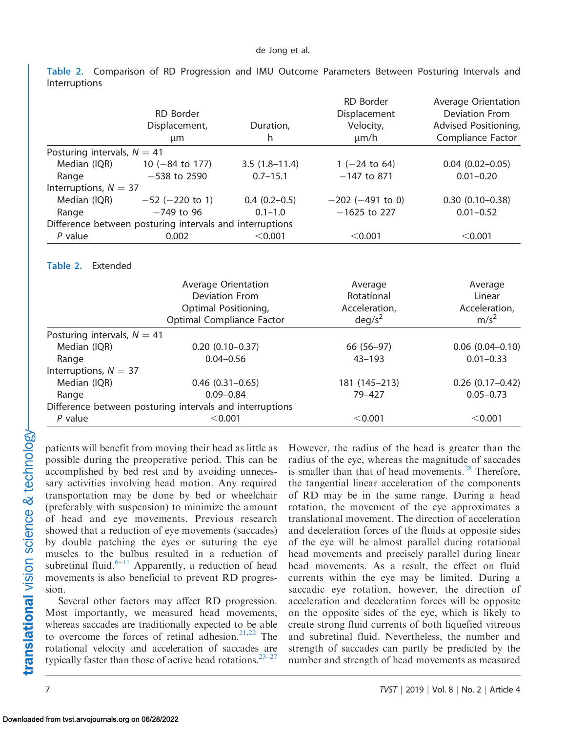|                                                          |                                                   | Duration,<br>h                               | <b>RD</b> Border<br>Displacement<br>Velocity,<br>$\mu$ m/h | <b>Average Orientation</b><br>Deviation From<br>Advised Positioning,<br>Compliance Factor |
|----------------------------------------------------------|---------------------------------------------------|----------------------------------------------|------------------------------------------------------------|-------------------------------------------------------------------------------------------|
|                                                          | RD Border                                         |                                              |                                                            |                                                                                           |
| Displacement,<br>$\mu$ m                                 |                                                   |                                              |                                                            |                                                                                           |
|                                                          |                                                   |                                              |                                                            |                                                                                           |
| Posturing intervals, $N = 41$                            |                                                   |                                              |                                                            |                                                                                           |
| Median (IQR)                                             | 10 $(-84 \text{ to } 177)$                        | $3.5(1.8-11.4)$                              | $1 (-24 to 64)$                                            | $0.04$ $(0.02 - 0.05)$                                                                    |
| Range                                                    | $-538$ to 2590                                    | $0.7 - 15.1$                                 | $-147$ to 871                                              | $0.01 - 0.20$                                                                             |
| Interruptions, $N = 37$                                  |                                                   |                                              |                                                            |                                                                                           |
| Median (IQR)                                             | $-52$ ( $-220$ to 1)                              | $0.4(0.2-0.5)$                               | $-202$ ( $-491$ to 0)                                      | $0.30(0.10-0.38)$                                                                         |
| Range                                                    | $-749$ to 96                                      | $0.1 - 1.0$                                  | $-1625$ to 227                                             | $0.01 - 0.52$                                                                             |
| Difference between posturing intervals and interruptions |                                                   |                                              |                                                            |                                                                                           |
| $P$ value                                                | 0.002                                             | < 0.001                                      | < 0.001                                                    | < 0.001                                                                                   |
| Table 2. Extended                                        |                                                   |                                              | Average                                                    |                                                                                           |
|                                                          |                                                   | Average Orientation<br><b>Deviation From</b> |                                                            | Average<br>Linear                                                                         |
|                                                          | Optimal Positioning,<br>Optimal Compliance Factor |                                              | Rotational<br>Acceleration,                                | Acceleration,                                                                             |
|                                                          |                                                   |                                              | deg/s <sup>2</sup>                                         | m/s <sup>2</sup>                                                                          |
|                                                          |                                                   |                                              |                                                            |                                                                                           |
| Posturing intervals, $N = 41$                            |                                                   |                                              | 66 (56-97)                                                 |                                                                                           |
| Median (IQR)                                             |                                                   | $0.20(0.10-0.37)$<br>$0.04 - 0.56$           |                                                            | $0.06$ $(0.04 - 0.10)$                                                                    |
| Range                                                    |                                                   |                                              | $43 - 193$                                                 | $0.01 - 0.33$                                                                             |
| Interruptions, $N = 37$                                  |                                                   |                                              | 181 (145-213)                                              |                                                                                           |
| Median (IQR)                                             |                                                   | $0.46$ $(0.31 - 0.65)$<br>$0.09 - 0.84$      |                                                            | $0.26$ $(0.17-0.42)$                                                                      |
| Range                                                    |                                                   |                                              | 79-427                                                     | $0.05 - 0.73$                                                                             |
| Difference between posturing intervals and interruptions |                                                   |                                              |                                                            |                                                                                           |
| $P$ value                                                | < 0.001                                           |                                              | < 0.001                                                    | < 0.001                                                                                   |

<span id="page-6-0"></span>Table 2. Comparison of RD Progression and IMU Outcome Parameters Between Posturing Intervals and Interruptions

patients will benefit from moving their head as little as possible during the preoperative period. This can be accomplished by bed rest and by avoiding unnecessary activities involving head motion. Any required transportation may be done by bed or wheelchair (preferably with suspension) to minimize the amount of head and eye movements. Previous research showed that a reduction of eye movements (saccades) by double patching the eyes or suturing the eye muscles to the bulbus resulted in a reduction of subretinal fluid. $6-11$  Apparently, a reduction of head movements is also beneficial to prevent RD progression.

Several other factors may affect RD progression. Most importantly, we measured head movements, whereas saccades are traditionally expected to be able to overcome the forces of retinal adhesion.<sup>[21,22](#page-11-0)</sup> The rotational velocity and acceleration of saccades are typically faster than those of active head rotations.<sup>23–27</sup>

However, the radius of the head is greater than the radius of the eye, whereas the magnitude of saccades is smaller than that of head movements.<sup>28</sup> Therefore, the tangential linear acceleration of the components of RD may be in the same range. During a head rotation, the movement of the eye approximates a translational movement. The direction of acceleration and deceleration forces of the fluids at opposite sides of the eye will be almost parallel during rotational head movements and precisely parallel during linear head movements. As a result, the effect on fluid currents within the eye may be limited. During a saccadic eye rotation, however, the direction of acceleration and deceleration forces will be opposite on the opposite sides of the eye, which is likely to create strong fluid currents of both liquefied vitreous and subretinal fluid. Nevertheless, the number and strength of saccades can partly be predicted by the number and strength of head movements as measured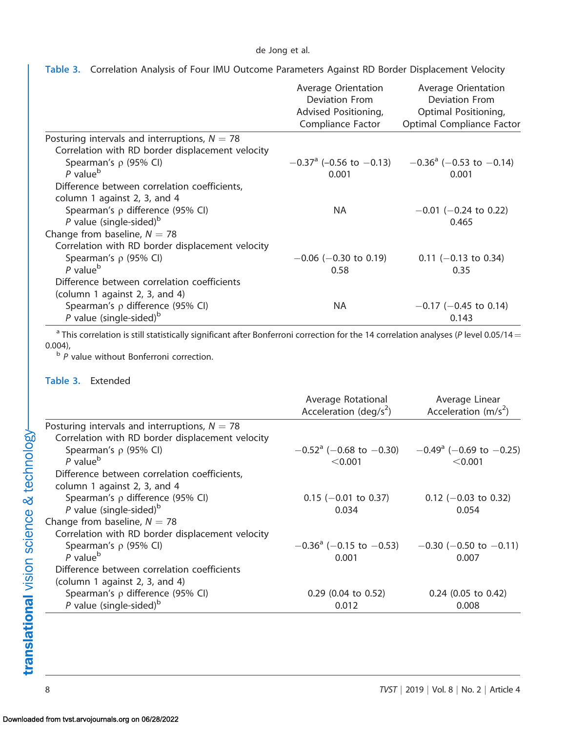Average Orientation Deviation From Advised Positioning, Compliance Factor Average Orientation Deviation From Optimal Positioning, Optimal Compliance Factor Posturing intervals and interruptions,  $N = 78$ Correlation with RD border displacement velocity Spearman's  $\rho$  (95% CI)  $-0.37^a$  (-0.56 to -0.13)  $-0.36^a$  (-0.53 to -0.14)<br>  $\rho$  value<sup>b</sup> 0.001  $\overline{P}$  value<sup>b</sup> 0.001 0.001 0.001 Difference between correlation coefficients, column 1 against 2, 3, and 4 Spearman's  $\rho$  difference (95% CI)  $NA$   $-0.01$   $(-0.24$  to 0.22) P value (single-sided)<sup>b</sup> 0.465 Change from baseline,  $N = 78$ Correlation with RD border displacement velocity Spearman's  $\rho$  (95% CI)  $\rho$   $\sim$  0.06 (-0.30 to 0.19) 0.11 (-0.13 to 0.34)  $\rho$  value<sup>b</sup> 0.35  $\overline{P}$  value<sup>b</sup> 0.35 0.35 Difference between correlation coefficients (column 1 against 2, 3, and 4) Spearman's  $\rho$  difference (95% CI)  $NA$   $-0.17$  (-0.45 to 0.14) P value (single-sided)<sup>b</sup> 0.143

<sup>a</sup> This correlation is still statistically significant after Bonferroni correction for the 14 correlation analyses (P level 0.05/14 = 0.004),

 $<sup>b</sup>$  P value without Bonferroni correction.</sup>

#### Table 3. Extended

|                                                  | Average Rotational<br>Acceleration ( $deg/s^2$ ) | Average Linear<br>Acceleration $(m/s^2)$ |
|--------------------------------------------------|--------------------------------------------------|------------------------------------------|
| Posturing intervals and interruptions, $N = 78$  |                                                  |                                          |
| Correlation with RD border displacement velocity |                                                  |                                          |
| Spearman's $\rho$ (95% CI)                       | $-0.52$ <sup>a</sup> ( $-0.68$ to $-0.30$ )      | $-0.49$ <sup>a</sup> (-0.69 to -0.25)    |
| $P$ value <sup>b</sup>                           | < 0.001                                          | < 0.001                                  |
| Difference between correlation coefficients,     |                                                  |                                          |
| column 1 against 2, 3, and 4                     |                                                  |                                          |
| Spearman's $\rho$ difference (95% CI)            | $0.15$ (-0.01 to 0.37)                           | $0.12$ (-0.03 to 0.32)                   |
| P value (single-sided) $b$                       | 0.034                                            | 0.054                                    |
| Change from baseline, $N = 78$                   |                                                  |                                          |
| Correlation with RD border displacement velocity |                                                  |                                          |
| Spearman's $\rho$ (95% CI)                       | $-0.36$ <sup>a</sup> ( $-0.15$ to $-0.53$ )      | $-0.30$ (-0.50 to -0.11)                 |
| $P$ value <sup>b</sup>                           | 0.001                                            | 0.007                                    |
| Difference between correlation coefficients      |                                                  |                                          |
| (column 1 against 2, 3, and 4)                   |                                                  |                                          |
| Spearman's $\rho$ difference (95% CI)            | $0.29$ (0.04 to 0.52)                            | $0.24$ (0.05 to 0.42)                    |
| P value (single-sided) $b$                       | 0.012                                            | 0.008                                    |

#### <span id="page-7-0"></span>Table 3. Correlation Analysis of Four IMU Outcome Parameters Against RD Border Displacement Velocity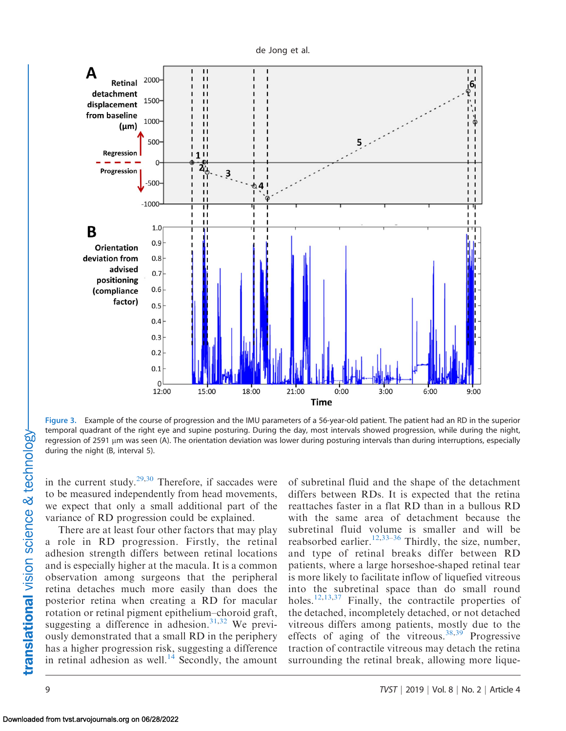



Figure 3. Example of the course of progression and the IMU parameters of a 56-year-old patient. The patient had an RD in the superior temporal quadrant of the right eye and supine posturing. During the day, most intervals showed progression, while during the night, regression of 2591 µm was seen (A). The orientation deviation was lower during posturing intervals than during interruptions, especially during the night (B, interval 5).

in the current study. $29,30$  Therefore, if saccades were to be measured independently from head movements, we expect that only a small additional part of the variance of RD progression could be explained.

There are at least four other factors that may play a role in RD progression. Firstly, the retinal adhesion strength differs between retinal locations and is especially higher at the macula. It is a common observation among surgeons that the peripheral retina detaches much more easily than does the posterior retina when creating a RD for macular rotation or retinal pigment epithelium–choroid graft, suggesting a difference in adhesion.<sup>[31](#page-11-0),[32](#page-12-0)</sup> We previously demonstrated that a small RD in the periphery has a higher progression risk, suggesting a difference in retinal adhesion as well.<sup>[14](#page-11-0)</sup> Secondly, the amount

of subretinal fluid and the shape of the detachment differs between RDs. It is expected that the retina reattaches faster in a flat RD than in a bullous RD with the same area of detachment because the subretinal fluid volume is smaller and will be reabsorbed earlier.<sup>[12,](#page-11-0)[33](#page-12-0)–[36](#page-12-0)</sup> Thirdly, the size, number, and type of retinal breaks differ between RD patients, where a large horseshoe-shaped retinal tear is more likely to facilitate inflow of liquefied vitreous into the subretinal space than do small round holes.<sup>[12,13](#page-11-0)[,37](#page-12-0)</sup> Finally, the contractile properties of the detached, incompletely detached, or not detached vitreous differs among patients, mostly due to the effects of aging of the vitreous.<sup>[38](#page-12-0),[39](#page-12-0)</sup> Progressive traction of contractile vitreous may detach the retina surrounding the retinal break, allowing more lique-

translational vision science & technology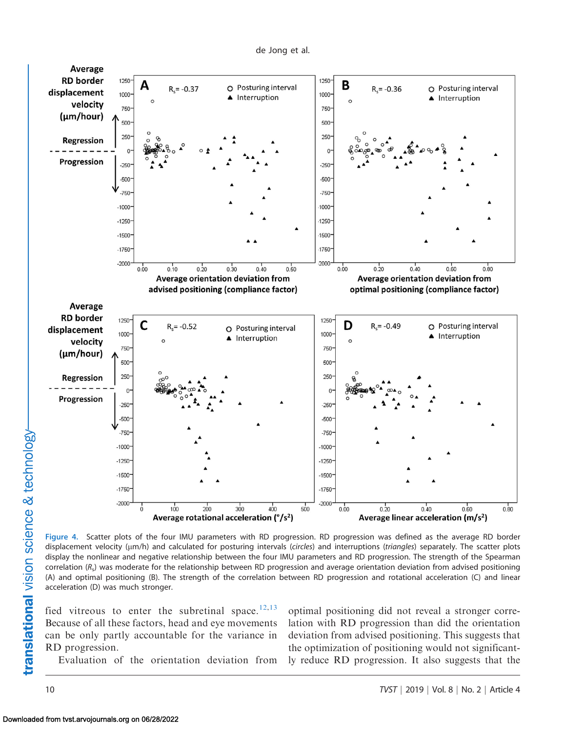<span id="page-9-0"></span>

Figure 4. Scatter plots of the four IMU parameters with RD progression. RD progression was defined as the average RD border displacement velocity (µm/h) and calculated for posturing intervals (circles) and interruptions (triangles) separately. The scatter plots display the nonlinear and negative relationship between the four IMU parameters and RD progression. The strength of the Spearman correlation  $(R<sub>s</sub>)$  was moderate for the relationship between RD progression and average orientation deviation from advised positioning (A) and optimal positioning (B). The strength of the correlation between RD progression and rotational acceleration (C) and linear acceleration (D) was much stronger.

fied vitreous to enter the subretinal space.<sup>[12,13](#page-11-0)</sup> Because of all these factors, head and eye movements can be only partly accountable for the variance in RD progression.

Evaluation of the orientation deviation from

optimal positioning did not reveal a stronger correlation with RD progression than did the orientation deviation from advised positioning. This suggests that the optimization of positioning would not significantly reduce RD progression. It also suggests that the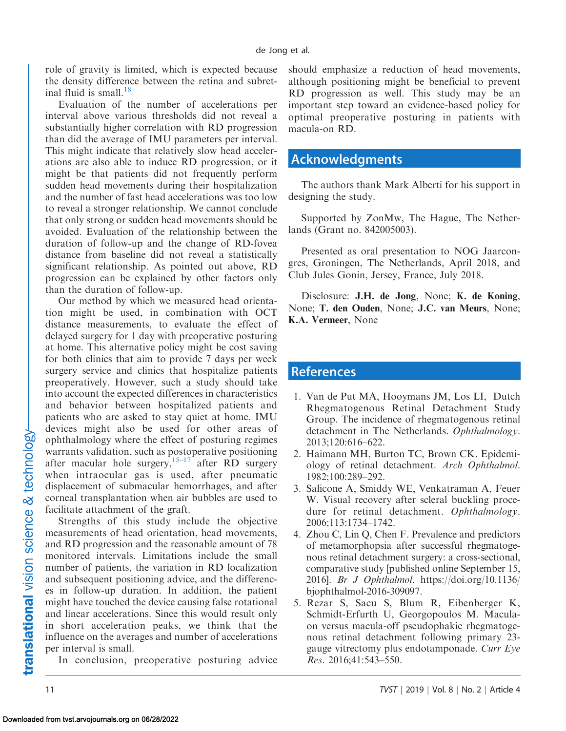<span id="page-10-0"></span>role of gravity is limited, which is expected because the density difference between the retina and subret-inal fluid is small.<sup>[18](#page-11-0)</sup>

Evaluation of the number of accelerations per interval above various thresholds did not reveal a substantially higher correlation with RD progression than did the average of IMU parameters per interval. This might indicate that relatively slow head accelerations are also able to induce RD progression, or it might be that patients did not frequently perform sudden head movements during their hospitalization and the number of fast head accelerations was too low to reveal a stronger relationship. We cannot conclude that only strong or sudden head movements should be avoided. Evaluation of the relationship between the duration of follow-up and the change of RD-fovea distance from baseline did not reveal a statistically significant relationship. As pointed out above, RD progression can be explained by other factors only than the duration of follow-up.

Our method by which we measured head orientation might be used, in combination with OCT distance measurements, to evaluate the effect of delayed surgery for 1 day with preoperative posturing at home. This alternative policy might be cost saving for both clinics that aim to provide 7 days per week surgery service and clinics that hospitalize patients preoperatively. However, such a study should take into account the expected differences in characteristics and behavior between hospitalized patients and patients who are asked to stay quiet at home. IMU devices might also be used for other areas of ophthalmology where the effect of posturing regimes warrants validation, such as postoperative positioning after macular hole surgery,  $15-17$  after RD surgery when intraocular gas is used, after pneumatic displacement of submacular hemorrhages, and after corneal transplantation when air bubbles are used to facilitate attachment of the graft.

Strengths of this study include the objective measurements of head orientation, head movements, and RD progression and the reasonable amount of 78 monitored intervals. Limitations include the small number of patients, the variation in RD localization and subsequent positioning advice, and the differences in follow-up duration. In addition, the patient might have touched the device causing false rotational and linear accelerations. Since this would result only in short acceleration peaks, we think that the influence on the averages and number of accelerations per interval is small.

In conclusion, preoperative posturing advice

should emphasize a reduction of head movements, although positioning might be beneficial to prevent RD progression as well. This study may be an important step toward an evidence-based policy for optimal preoperative posturing in patients with macula-on RD.

# Acknowledgments

The authors thank Mark Alberti for his support in designing the study.

Supported by ZonMw, The Hague, The Netherlands (Grant no. 842005003).

Presented as oral presentation to NOG Jaarcongres, Groningen, The Netherlands, April 2018, and Club Jules Gonin, Jersey, France, July 2018.

Disclosure: J.H. de Jong, None; K. de Koning, None; T. den Ouden, None; J.C. van Meurs, None; K.A. Vermeer, None

# **References**

- 1. Van de Put MA, Hooymans JM, Los LI, Dutch Rhegmatogenous Retinal Detachment Study Group. The incidence of rhegmatogenous retinal detachment in The Netherlands. Ophthalmology. 2013;120:616–622.
- 2. Haimann MH, Burton TC, Brown CK. Epidemiology of retinal detachment. Arch Ophthalmol. 1982;100:289–292.
- 3. Salicone A, Smiddy WE, Venkatraman A, Feuer W. Visual recovery after scleral buckling procedure for retinal detachment. Ophthalmology. 2006;113:1734–1742.
- 4. Zhou C, Lin Q, Chen F. Prevalence and predictors of metamorphopsia after successful rhegmatogenous retinal detachment surgery: a cross-sectional, comparative study [published online September 15, 2016]. Br J Ophthalmol. https://doi.org/10.1136/ bjophthalmol-2016-309097.
- 5. Rezar S, Sacu S, Blum R, Eibenberger K, Schmidt-Erfurth U, Georgopoulos M. Maculaon versus macula-off pseudophakic rhegmatogenous retinal detachment following primary 23 gauge vitrectomy plus endotamponade. Curr Eye Res. 2016;41:543–550.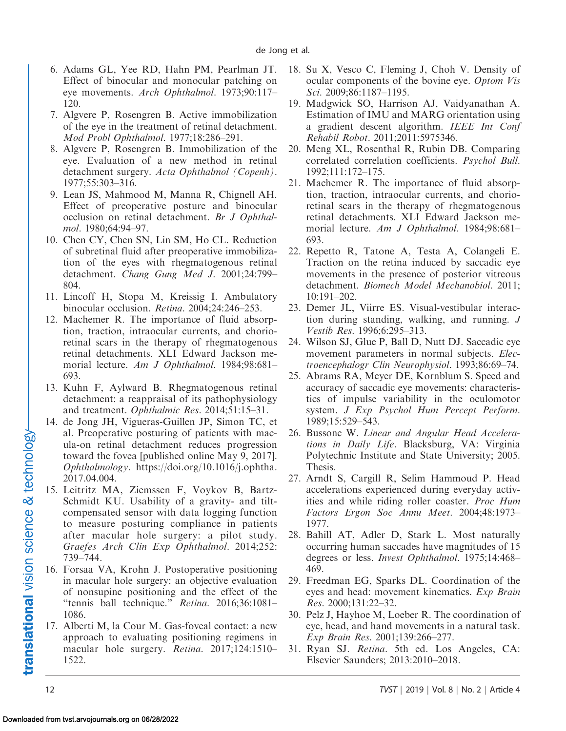- <span id="page-11-0"></span>6. Adams GL, Yee RD, Hahn PM, Pearlman JT. Effect of binocular and monocular patching on eye movements. Arch Ophthalmol. 1973;90:117– 120.
- 7. Algvere P, Rosengren B. Active immobilization of the eye in the treatment of retinal detachment. Mod Probl Ophthalmol. 1977;18:286–291.
- 8. Algvere P, Rosengren B. Immobilization of the eye. Evaluation of a new method in retinal detachment surgery. Acta Ophthalmol (Copenh). 1977;55:303–316.
- 9. Lean JS, Mahmood M, Manna R, Chignell AH. Effect of preoperative posture and binocular occlusion on retinal detachment. Br J Ophthalmol. 1980;64:94–97.
- 10. Chen CY, Chen SN, Lin SM, Ho CL. Reduction of subretinal fluid after preoperative immobilization of the eyes with rhegmatogenous retinal detachment. Chang Gung Med J. 2001;24:799– 804.
- 11. Lincoff H, Stopa M, Kreissig I. Ambulatory binocular occlusion. Retina. 2004;24:246–253.
- 12. Machemer R. The importance of fluid absorption, traction, intraocular currents, and chorioretinal scars in the therapy of rhegmatogenous retinal detachments. XLI Edward Jackson memorial lecture. Am J Ophthalmol. 1984;98:681– 693.
- 13. Kuhn F, Aylward B. Rhegmatogenous retinal detachment: a reappraisal of its pathophysiology and treatment. Ophthalmic Res. 2014;51:15–31.
- 14. de Jong JH, Vigueras-Guillen JP, Simon TC, et al. Preoperative posturing of patients with macula-on retinal detachment reduces progression toward the fovea [published online May 9, 2017]. Ophthalmology. https://doi.org/10.1016/j.ophtha. 2017.04.004.
- 15. Leitritz MA, Ziemssen F, Voykov B, Bartz-Schmidt KU. Usability of a gravity- and tiltcompensated sensor with data logging function to measure posturing compliance in patients after macular hole surgery: a pilot study. Graefes Arch Clin Exp Ophthalmol. 2014;252: 739–744.
- 16. Forsaa VA, Krohn J. Postoperative positioning in macular hole surgery: an objective evaluation of nonsupine positioning and the effect of the "tennis ball technique." Retina. 2016;36:1081-1086.
- 17. Alberti M, la Cour M. Gas-foveal contact: a new approach to evaluating positioning regimens in macular hole surgery. Retina. 2017;124:1510– 1522.
- 18. Su X, Vesco C, Fleming J, Choh V. Density of ocular components of the bovine eye. Optom Vis Sci. 2009;86:1187–1195.
- 19. Madgwick SO, Harrison AJ, Vaidyanathan A. Estimation of IMU and MARG orientation using a gradient descent algorithm. IEEE Int Conf Rehabil Robot. 2011;2011:5975346.
- 20. Meng XL, Rosenthal R, Rubin DB. Comparing correlated correlation coefficients. Psychol Bull. 1992;111:172–175.
- 21. Machemer R. The importance of fluid absorption, traction, intraocular currents, and chorioretinal scars in the therapy of rhegmatogenous retinal detachments. XLI Edward Jackson memorial lecture. Am J Ophthalmol. 1984;98:681– 693.
- 22. Repetto R, Tatone A, Testa A, Colangeli E. Traction on the retina induced by saccadic eye movements in the presence of posterior vitreous detachment. Biomech Model Mechanobiol. 2011; 10:191–202.
- 23. Demer JL, Viirre ES. Visual-vestibular interaction during standing, walking, and running. J Vestib Res. 1996;6:295–313.
- 24. Wilson SJ, Glue P, Ball D, Nutt DJ. Saccadic eye movement parameters in normal subjects. Electroencephalogr Clin Neurophysiol. 1993;86:69–74.
- 25. Abrams RA, Meyer DE, Kornblum S. Speed and accuracy of saccadic eye movements: characteristics of impulse variability in the oculomotor system. J Exp Psychol Hum Percept Perform. 1989;15:529–543.
- 26. Bussone W. Linear and Angular Head Accelerations in Daily Life. Blacksburg, VA: Virginia Polytechnic Institute and State University; 2005. Thesis.
- 27. Arndt S, Cargill R, Selim Hammoud P. Head accelerations experienced during everyday activities and while riding roller coaster. Proc Hum Factors Ergon Soc Annu Meet. 2004;48:1973– 1977.
- 28. Bahill AT, Adler D, Stark L. Most naturally occurring human saccades have magnitudes of 15 degrees or less. Invest Ophthalmol. 1975;14:468– 469.
- 29. Freedman EG, Sparks DL. Coordination of the eyes and head: movement kinematics. Exp Brain Res. 2000;131:22–32.
- 30. Pelz J, Hayhoe M, Loeber R. The coordination of eye, head, and hand movements in a natural task. Exp Brain Res. 2001;139:266–277.
- 31. Ryan SJ. Retina. 5th ed. Los Angeles, CA: Elsevier Saunders; 2013:2010–2018.